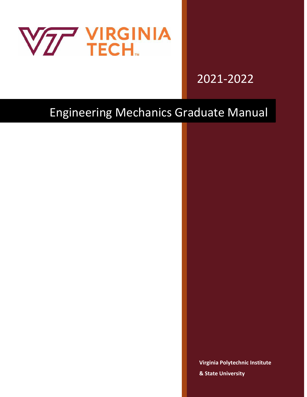

# 2021-2022

# Engineering Mechanics Graduate Manual

**Virginia Polytechnic Institute & State University**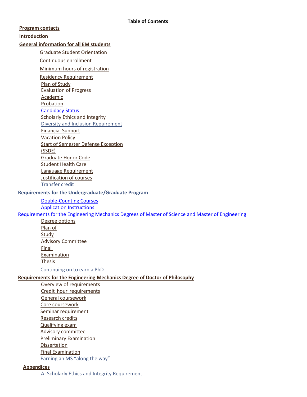#### **Program contacts**

#### **Introduction**

#### **General information for all EM students**

Graduate Student Orientation

Continuous enrollment

Minimum hours of registration

Residency Requirement

Plan of Study

Evaluation of Progress

Academic

Probation Candidacy Status

Scholarly Ethics and Integrity Diversity and Inclusion Requirement

Financial Support

Vacation Policy

Start of Semester Defense Exception

(SSDE)

Graduate Honor Code

Student Health Care

Language Requirement Justification of courses

Transfer credit

# **Requirements for the Undergraduate/Graduate Program**

Double-Counting Courses Application Instructions

Requirements for the Engineering Mechanics Degrees of Master of Science and Master of Engineering

Degree options Plan of Study Advisory Committee Final Examination Thesis

#### Continuing on to earn a PhD

#### **Requirements for the Engineering Mechanics Degree of Doctor of Philosophy**

Overview of requirements Credit hour requirements General coursework Core coursework Seminar requirement Research credits Qualifying exam Advisory committee Preliminary Examination Dissertation Final Examination Earning an MS "along the way"

#### **Appendices**

A: Scholarly Ethics and Integrity Requirement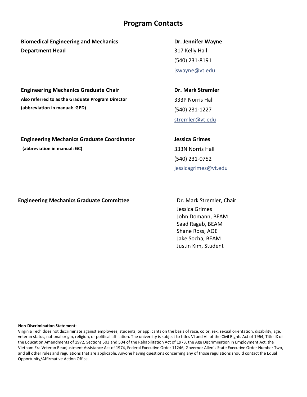# **Program Contacts**

**Biomedical Engineering and Mechanics Department Head**

**Dr. Jennifer Wayne** 317 Kelly Hall (540) 231-8191 [jswayne@vt.edu](mailto:jswayne@vt.edu)

**Engineering Mechanics Graduate Chair Also referred to as the Graduate Program Director (abbreviation in manual: GPD)**

**Engineering Mechanics Graduate Coordinator (abbreviation in manual: GC)**

**Dr. Mark Stremler**  333P Norris Hall (540) 231-1227 [stremler@vt.edu](mailto:shaneross@vt.edu)

**Jessica Grimes**  333N Norris Hall (540) 231-0752 [jessicagrimes@vt.edu](mailto:jessicagrimes@vt.edu)

**Engineering Mechanics Graduate Committee <b>Committeneral Committee** Dr. Mark Stremler, Chair

Jessica Grimes John Domann, BEAM Saad Ragab, BEAM Shane Ross, AOE Jake Socha, BEAM Justin Kim, Student

#### **Non-Discrimination Statement:**

Virginia Tech does not discriminate against employees, students, or applicants on the basis of race, color, sex, sexual orientation, disability, age, veteran status, national origin, religion, or political affiliation. The university is subject to titles VI and VII of the Civil Rights Act of 1964, Title IX of the Education Amendments of 1972, Sections 503 and 504 of the Rehabilitation Act of 1973, the Age Discrimination in Employment Act, the Vietnam Era Veteran Readjustment Assistance Act of 1974, Federal Executive Order 11246, Governor Allen's State Executive Order Number Two, and all other rules and regulations that are applicable. Anyone having questions concerning any of those regulations should contact the Equal Opportunity/Affirmative Action Office.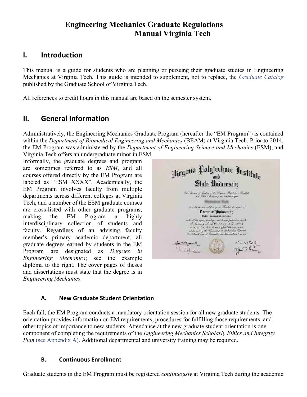# **Engineering Mechanics Graduate Regulations Manual Virginia Tech**

# **I. Introduction**

This manual is a guide for students who are planning or pursuing their graduate studies in Engineering Mechanics at Virginia Tech. This guide is intended to supplement, not to replace, the *[Graduate Catalog](http://secure.graduateschool.vt.edu/graduate_catalog/)* published by the Graduate School of Virginia Tech.

All references to credit hours in this manual are based on the semester system.

# **II. General Information**

Administratively, the Engineering Mechanics Graduate Program (hereafter the "EM Program") is contained within the *Department of Biomedical Engineering and Mechanics* (BEAM) at Virginia Tech. Prior to 2014, the EM Program was administered by the *Department of Engineering Science and Mechanics* (ESM), and Virginia Tech offers an undergraduate minor in ESM.

Informally, the graduate degrees and program are sometimes referred to as *ESM*, and all courses offered directly by the EM Program are labeled as "ESM XXXX". Academically, the EM Program involves faculty from multiple departments across different colleges at Virginia Tech, and a number of the ESM graduate courses are cross-listed with other graduate programs, making the EM Program a highly interdisciplinary collection of students and faculty. Regardless of an advising faculty member's primary academic department, all graduate degrees earned by students in the EM Program are designated as *Degrees in Engineering Mechanics*; see the example diploma to the right. The cover pages of theses and dissertations must state that the degree is in *Engineering Mechanics*.



#### **A. New Graduate Student Orientation**

Each fall, the EM Program conducts a mandatory orientation session for all new graduate students. The orientation provides information on EM requirements, procedures for fulfilling those requirements, and other topics of importance to new students. Attendance at the new graduate student orientation is one component of completing the requirements of the *Engineering Mechanics Scholarly Ethics and Integrity Plan* (see Appendix A). Additional departmental and university training may be required.

#### **B. Continuous Enrollment**

Graduate students in the EM Program must be registered *continuously* at Virginia Tech during the academic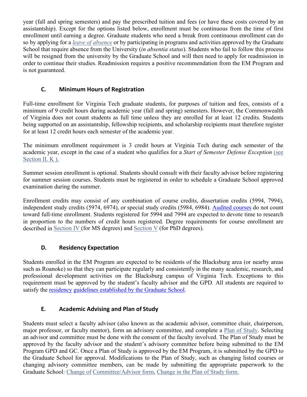year (fall and spring semesters) and pay the prescribed tuition and fees (or have these costs covered by an assistantship). Except for the options listed below, enrollment must be continuous from the time of first enrollment until earning a degree. Graduate students who need a break from continuous enrollment can do so by applying for a *[leave of](http://graduateschool.vt.edu/content/dam/graduateschool_vt_edu/GAAPforms/Leave_of_Absence_Request.pdf) [absence](http://graduateschool.vt.edu/content/dam/graduateschool_vt_edu/GAAPforms/Leave_of_Absence_Request.pdf)* or by participating in programs and activities approved by the Graduate School that require absence from the University (*in absentia status*). Students who fail to follow this process will be resigned from the university by the Graduate School and will then need to apply for readmission in order to continue their studies. Readmission requires a positive recommendation from the EM Program and is not guaranteed.

# **C. Minimum Hours of Registration**

Full-time enrollment for Virginia Tech graduate students, for purposes of tuition and fees, consists of a minimum of 9 credit hours during academic year (fall and spring) semesters. However, the Commonwealth of Virginia does not count students as full time unless they are enrolled for at least 12 credits. Students being supported on an assistantship, fellowship recipients, and scholarship recipients must therefore register for at least 12 credit hours each semester of the academic year.

The minimum enrollment requirement is 3 credit hours at Virginia Tech during each semester of the academic year, except in the case of a student who qualifies for a *Start of Semester Defense Exception* (see Section II. K ).

Summer session enrollment is optional. Students should consult with their faculty advisor before registering for summer session courses. Students must be registered in order to schedule a Graduate School approved examination during the summer.

Enrollment credits may consist of any combination of course credits, dissertation credits (5994, 7994), independent study credits (5974, 6974), or special study credits (5984, 6984). [Audited courses](https://secure.graduateschool.vt.edu/graduate_catalog/policies.htm?policy=002d14432c654287012c6542e38200a6) do not count toward full-time enrollment. Students registered for 5994 and 7994 are expected to devote time to research in proportion to the numbers of credit hours registered. Degree requirements for course enrollment are described in Section IV (for MS degrees) and Section V (for PhD degrees).

# **D. Residency Expectation**

Students enrolled in the EM Program are expected to be residents of the Blacksburg area (or nearby areas such as Roanoke) so that they can participate regularly and consistently in the many academic, research, and professional development activities on the Blacksburg campus of Virginia Tech. Exceptions to this requirement must be approved by the student's faculty advisor and the GPD*.* All students are required to satisfy the [residency](https://secure.graduateschool.vt.edu/graduate_catalog/policies.htm?policy=002d14432c654287012c6542e363000c) [guidelines established by the Graduate](https://secure.graduateschool.vt.edu/graduate_catalog/policies.htm?policy=002d14432c654287012c6542e363000c) School.

# **E. Academic Advising and Plan of Study**

Students must select a faculty advisor (also known as the academic advisor, committee chair, chairperson, major professor, or faculty mentor), form an advisory committee, and complete a [Plan of Study.](https://beam.vt.edu/forms.html) Selecting an advisor and committee must be done with the consent of the faculty involved. The Plan of Study must be approved by the faculty advisor and the student's advisory committee before being submitted to the EM Program GPD and GC. Once a Plan of Study is approved by the EM Program, it is submitted by the GPD to the Graduate School for approval. Modifications to the Plan of Study, such as changing listed courses or changing advisory committee members, can be made by submitting the appropriate paperwork to the Graduate School: [Change of](http://graduateschool.vt.edu/content/dam/graduateschool_vt_edu/GAAPforms/Change_of_Committee-Advisor.pdf) [Committee/Advisor form,](http://graduateschool.vt.edu/content/dam/graduateschool_vt_edu/GAAPforms/Change_of_Committee-Advisor.pdf) [Change in the Plan of Study](http://graduateschool.vt.edu/content/dam/graduateschool_vt_edu/GAAPforms/Plan_of_Study_Change.pdf) form.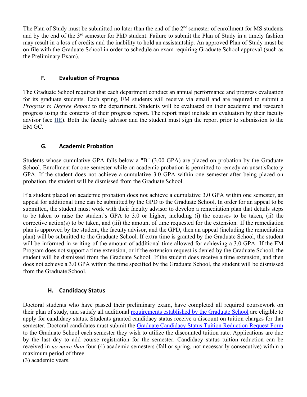The Plan of Study must be submitted no later than the end of the 2<sup>nd</sup> semester of enrollment for MS students and by the end of the 3<sup>rd</sup> semester for PhD student. Failure to submit the Plan of Study in a timely fashion may result in a loss of credits and the inability to hold an assistantship. An approved Plan of Study must be on file with the Graduate School in order to schedule an exam requiring Graduate School approval (such as the Preliminary Exam).

#### **F. Evaluation of Progress**

The Graduate School requires that each department conduct an annual performance and progress evaluation for its graduate students. Each spring, EM students will receive via email and are required to submit a *Progress to Degree Report* to the department. Students will be evaluated on their academic and research progress using the contents of their progress report. The report must include an evaluation by their faculty advisor (see IIE). Both the faculty advisor and the student must sign the report prior to submission to the EM GC.

#### **G. Academic Probation**

Students whose cumulative GPA falls below a "B" (3.00 GPA) are placed on probation by the Graduate School. Enrollment for one semester while on academic probation is permitted to remedy an unsatisfactory GPA. If the student does not achieve a cumulative 3.0 GPA within one semester after being placed on probation, the student will be dismissed from the Graduate School.

If a student placed on academic probation does not achieve a cumulative 3.0 GPA within one semester, an appeal for additional time can be submitted by the GPD to the Graduate School. In order for an appeal to be submitted, the student must work with their faculty advisor to develop a remediation plan that details steps to be taken to raise the student's GPA to 3.0 or higher, including (i) the courses to be taken, (ii) the corrective action(s) to be taken, and (iii) the amount of time requested for the extension. If the remediation plan is approved by the student, the faculty advisor, and the GPD, then an appeal (including the remediation plan) will be submitted to the Graduate School. If extra time is granted by the Graduate School, the student will be informed in writing of the amount of additional time allowed for achieving a 3.0 GPA. If the EM Program does not support a time extension, or if the extension request is denied by the Graduate School, the student will be dismissed from the Graduate School. If the student does receive a time extension, and then does not achieve a 3.0 GPA within the time specified by the Graduate School, the student will be dismissed from the Graduate School.

#### **H. Candidacy Status**

Doctoral students who have passed their preliminary exam, have completed all required coursework on their plan of study, and satisfy all additional [requirements established by the Graduate School](https://graduateschool.vt.edu/academics/graduate-catalog-policies-procedures/Candidacy_Status.html.html) are eligible to apply for candidacy status. Students granted candidacy status receive a discount on tuition charges for that semester. Doctoral candidates must submit the [Graduate Candidacy Status Tuition Reduction Request Form](https://docs.google.com/forms/d/e/1FAIpQLSfWvDmHQBKD663KIFYKVU48_FKgbfdjNeKSCvxrYdkrG_mq3g/viewform) to the Graduate School each semester they wish to utilize the discounted tuition rate. Applications are due by the last day to add course registration for the semester. Candidacy status tuition reduction can be received in *no more than* four (4) academic semesters (fall or spring, not necessarily consecutive) within a maximum period of three

(3) academic years.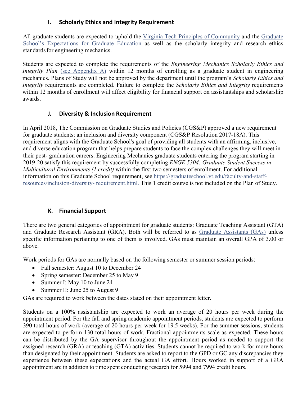# **I. Scholarly Ethics and Integrity Requirement**

All graduate students are expected to uphold the [Virginia Tech Principles of Community](http://inclusive.vt.edu/vtpoc0.html) and the [Graduate](http://graduateschool.vt.edu/academics/expectations/expectations-for-graduate-education-overview.html) [School's Expectations for Graduate Education](http://graduateschool.vt.edu/academics/expectations/expectations-for-graduate-education-overview.html) as well as the scholarly integrity and research ethics standards for engineering mechanics.

Students are expected to complete the requirements of the *Engineering Mechanics Scholarly Ethics and Integrity Plan* (see Appendix A) within 12 months of enrolling as a graduate student in engineering mechanics. Plans of Study will not be approved by the department until the program's *Scholarly Ethics and Integrity* requirements are completed. Failure to complete the *Scholarly Ethics and Integrity* requirements within 12 months of enrollment will affect eligibility for financial support on assistantships and scholarship awards.

# **J. Diversity & Inclusion Requirement**

In April 2018, The Commission on Graduate Studies and Policies (CGS&P) approved a new requirement for graduate students: an inclusion and diversity component (CGS&P Resolution 2017-18A). This requirement aligns with the Graduate School's goal of providing all students with an affirming, inclusive, and diverse education program that helps prepare students to face the complex challenges they will meet in their post- graduation careers. Engineering Mechanics graduate students entering the program starting in 2019-20 satisfy this requirement by successfully completing *ENGE 5304: Graduate Student Success in Multicultural Environments (1 credit)* within the first two semesters of enrollment. For additional information on this Graduate School requirement, see [https://graduateschool.vt.edu/faculty-and-staff](https://graduateschool.vt.edu/faculty-and-staff-resources/inclusion-diversity-requirement.html)[resources/inclusion-diversity-](https://graduateschool.vt.edu/faculty-and-staff-resources/inclusion-diversity-requirement.html) [requirement.html.](https://graduateschool.vt.edu/faculty-and-staff-resources/inclusion-diversity-requirement.html) This 1 credit course is not included on the Plan of Study.

# **K. Financial Support**

There are two general categories of appointment for graduate students: Graduate Teaching Assistant (GTA) and Graduate Research Assistant (GRA). Both will be referred to as [Graduate Assistants \(GAs\)](https://graduateschool.vt.edu/funding/types-of-funding/assistantships.html) unless specific information pertaining to one of them is involved. GAs must maintain an overall GPA of 3.00 or above.

Work periods for GAs are normally based on the following semester or summer session periods:

- Fall semester: August 10 to December 24
- Spring semester: December 25 to May 9
- Summer I: May 10 to June 24
- Summer II: June 25 to August 9

GAs are required to work between the dates stated on their appointment letter.

Students on a 100% assistantship are expected to work an average of 20 hours per week during the appointment period. For the fall and spring academic appointment periods, students are expected to perform 390 total hours of work (average of 20 hours per week for 19.5 weeks). For the summer sessions, students are expected to perform 130 total hours of work. Fractional appointments scale as expected. These hours can be distributed by the GA supervisor throughout the appointment period as needed to support the assigned research (GRA) or teaching (GTA) activities. Students cannot be required to work for more hours than designated by their appointment. Students are asked to report to the GPD or GC any discrepancies they experience between these expectations and the actual GA effort. Hours worked in support of a GRA appointment are in addition to time spent conducting research for 5994 and 7994 credit hours.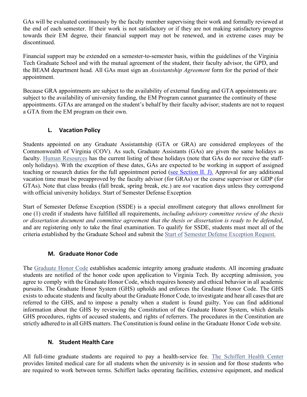GAs will be evaluated continuously by the faculty member supervising their work and formally reviewed at the end of each semester. If their work is not satisfactory or if they are not making satisfactory progress towards their EM degree, their financial support may not be renewed, and in extreme cases may be discontinued.

Financial support may be extended on a semester-to-semester basis, within the guidelines of the Virginia Tech Graduate School and with the mutual agreement of the student, their faculty advisor, the GPD, and the BEAM department head. All GAs must sign an *Assistantship Agreement* form for the period of their appointment.

Because GRA appointments are subject to the availability of external funding and GTA appointments are subject to the availability of university funding, the EM Program cannot guarantee the continuity of these appointments. GTAs are arranged on the student's behalf by their faculty advisor; students are not to request a GTA from the EM program on their own.

# **L. Vacation Policy**

Students appointed on any Graduate Assistantship (GTA or GRA) are considered employees of the Commonwealth of Virginia (COV). As such, Graduate Assistants (GAs) are given the same holidays as faculty. [Human Resources](http://www.hr.vt.edu/benefits/leave/holiday-closing-schedule.html) has the current listing of these holidays (note that GAs do *not* receive the staffonly holidays). With the exception of these dates, GAs are expected to be working in support of assigned teaching or research duties for the full appointment period (see Section II. J). Approval for any additional vacation time must be preapproved by the faculty advisor (for GRAs) or the course supervisor or GDP (for GTAs). Note that class breaks (fall break, spring break, etc.) are *not* vacation days unless they correspond with official university holidays. Start of Semester Defense Exception

Start of Semester Defense Exception (SSDE) is a special enrollment category that allows enrollment for one (1) credit if students have fulfilled all requirements, *including advisory committee review of the thesis or dissertation document and committee agreement that the thesis or dissertation is ready to be defended*, and are registering only to take the final examination. To qualify for SSDE, students must meet all of the criteria established by the Graduate School and submit the [Start of](http://graduateschool.vt.edu/content/dam/graduateschool_vt_edu/GAAPforms/Start_Semester_Defense_Exception.pdf) [Semester Defense Exception Request.](http://graduateschool.vt.edu/content/dam/graduateschool_vt_edu/GAAPforms/Start_Semester_Defense_Exception.pdf)

#### **M. Graduate Honor Code**

The [Graduate](http://graduateschool.vt.edu/academics/expectations/graduate-honor-system.html) Honor Code establishes academic integrity among graduate students. All incoming graduate students are notified of the honor code upon application to Virginia Tech. By accepting admission, you agree to comply with the Graduate Honor Code, which requires honesty and ethical behavior in all academic pursuits. The Graduate Honor System (GHS) upholds and enforces the Graduate Honor Code. The GHS exists to educate students and faculty about the Graduate Honor Code, to investigate and hear all casesthat are referred to the GHS, and to impose a penalty when a student is found guilty. You can find additional information about the GHS by reviewing the Constitution of the Graduate Honor System, which details GHS procedures, rights of accused students, and rights of referrers. The procedures in the Constitution are strictly adhered to in all GHS matters. The Constitution is found online in the Graduate Honor Code web site.

#### **N. Student Health Care**

All full-time graduate students are required to pay a health-service fee. [The Schiffert Health Center](https://www.healthcenter.vt.edu/) provides limited medical care for all students when the university is in session and for those students who are required to work between terms. Schiffert lacks operating facilities, extensive equipment, and medical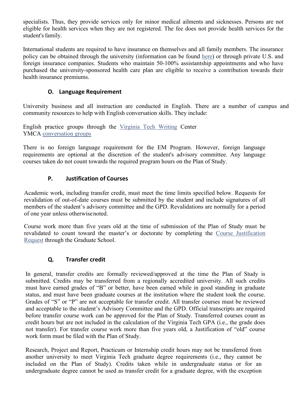specialists. Thus, they provide services only for minor medical ailments and sicknesses. Persons are not eligible for health services when they are not registered. The fee does not provide health services for the student's family.

International students are required to have insurance on themselves and all family members. The insurance policy can be obtained through the university (information can be found [here\)](https://risk.controller.vt.edu/studentmedicalinsurance.html) or through private U.S. and foreign insurance companies. Students who maintain 50-100% assistantship appointments and who have purchased the university-sponsored health care plan are eligible to receive a contribution towards their health insurance premiums.

# **O. Language Requirement**

University business and all instruction are conducted in English. There are a number of campus and community resources to help with English conversation skills. They include:

English practice groups through the [Virginia Tech Writing](https://lib.vt.edu/study-learn/writing-center.html) Center YMCA [conversation groups](http://vtymca.org/international-programs/)

There is no foreign language requirement for the EM Program. However, foreign language requirements are optional at the discretion of the student's advisory committee. Any language courses taken do not count towards the required program hours on the Plan of Study.

# **P. Justification of Courses**

Academic work, including transfer credit, must meet the time limits specified below. Requests for revalidation of out-of-date courses must be submitted by the student and include signatures of all members of the student's advisory committee and the GPD. Revalidations are normally for a period of one year unless otherwisenoted.

Course work more than five years old at the time of submission of the Plan of Study must be revalidated to count toward the master's or doctorate by completing the [Course Justification](http://graduateschool.vt.edu/content/dam/graduateschool_vt_edu/GAAPforms/Course_Justification_Request.pdf)  [Request](http://graduateschool.vt.edu/content/dam/graduateschool_vt_edu/GAAPforms/Course_Justification_Request.pdf) through the Graduate School.

# **Q. Transfer credit**

In general, transfer credits are formally reviewed/approved at the time the Plan of Study is submitted. Credits may be transferred from a regionally accredited university. All such credits must have earned grades of "B" or better, have been earned while in good standing in graduate status, and must have been graduate courses at the institution where the student took the course. Grades of "S" or "P" are not acceptable for transfer credit. All transfer courses must be reviewed and acceptable to the student's Advisory Committee and the GPD. Official transcripts are required before transfer course work can be approved for the Plan of Study. Transferred courses count as credit hours but are not included in the calculation of the Virginia Tech GPA (i.e., the grade does not transfer). For transfer course work more than five years old, a Justification of "old" course work form must be filed with the Plan of Study.

Research, Project and Report, Practicum or Internship credit hours may not be transferred from another university to meet Virginia Tech graduate degree requirements (i.e., they cannot be included on the Plan of Study). Credits taken while in undergraduate status or for an undergraduate degree cannot be used as transfer credit for a graduate degree, with the exception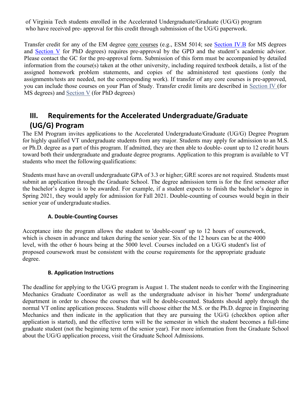of Virginia Tech students enrolled in the Accelerated Undergraduate/Graduate (UG/G) program who have received pre- approval for this credit through submission of the UG/G paperwork.

Transfer credit for any of the EM degree core courses (e.g., ESM 5014; see Section IV.B for MS degrees and Section V for PhD degrees) requires pre-approval by the GPD and the student's academic advisor. Please contact the GC for the pre-approval form. Submission of this form must be accompanied by detailed information from the course(s) taken at the other university, including required textbook details, a list of the assigned homework problem statements, and copies of the administered test questions (only the assignments/tests are needed, not the corresponding work). If transfer of any core courses is pre-approved, you can include those courses on your Plan of Study. Transfer credit limits are described in Section IV (for MS degrees) and Section V (for PhD degrees)

# **III. Requirements for the Accelerated Undergraduate/Graduate (UG/G) Program**

The EM Program invites applications to the Accelerated Undergraduate/Graduate (UG/G) Degree Program for highly qualified VT undergraduate students from any major. Students may apply for admission to an M.S. or Ph.D. degree as a part of this program. If admitted, they are then able to double- count up to 12 credit hours toward both their undergraduate and graduate degree programs. Application to this program is available to VT students who meet the following qualifications:

Students must have an overall undergraduate GPA of 3.3 or higher; GRE scores are not required. Students must submit an application through the Graduate School. The degree admission term is for the first semester after the bachelor's degree is to be awarded. For example, if a student expects to finish the bachelor's degree in Spring 2021, they would apply for admission for Fall 2021. Double-counting of courses would begin in their senior year of undergraduate studies.

#### **A. Double-Counting Courses**

Acceptance into the program allows the student to 'double-count' up to 12 hours of coursework, which is chosen in advance and taken during the senior year. Six of the 12 hours can be at the 4000 level, with the other 6 hours being at the 5000 level. Courses included on a UG/G student's list of proposed coursework must be consistent with the course requirements for the appropriate graduate degree.

# **B. Application Instructions**

The deadline for applying to the UG/G program is August 1. The student needs to confer with the Engineering Mechanics Graduate Coordinator as well as the undergraduate advisor in his/her 'home' undergraduate department in order to choose the courses that will be double-counted. Students should apply through the normal VT online application process. Students will choose either the M.S. or the Ph.D. degree in Engineering Mechanics and then indicate in the application that they are pursuing the UG/G (checkbox option after application is started), and the effective term will be the semester in which the student becomes a full-time graduate student (not the beginning term of the senior year). For more information from the Graduate School about the UG/G application process, visit the [Graduate School](https://graduateschool.vt.edu/admissions/accelerated_masters_programs.html) [Admissions.](https://graduateschool.vt.edu/admissions/accelerated_masters_programs.html)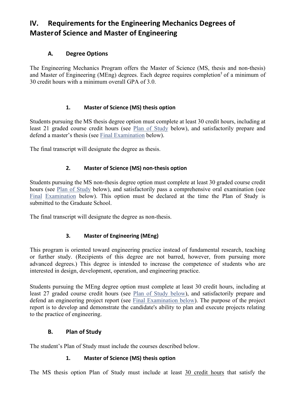# **IV. Requirements for the Engineering Mechanics Degrees of Masterof Science and Master of Engineering**

# **A. Degree Options**

The Engineering Mechanics Program offers the Master of Science (MS, thesis and non-thesis) and Master of Engineering (MEng) degrees. Each degree requires completion† of a minimum of 30 credit hours with a minimum overall GPA of 3.0.

#### **1. Master of Science (MS) thesis option**

Students pursuing the MS thesis degree option must complete at least 30 credit hours, including at least 21 graded course credit hours (see Plan of Study below), and satisfactorily prepare and defend a master's thesis (see Final Examination below).

The final transcript will designate the degree as thesis.

#### **2. Master of Science (MS) non-thesis option**

Students pursuing the MS non-thesis degree option must complete at least 30 graded course credit hours (see Plan of Study below), and satisfactorily pass a comprehensive oral examination (see Final Examination below). This option must be declared at the time the Plan of Study is submitted to the Graduate School.

The final transcript will designate the degree as non-thesis.

# **3. Master of Engineering (MEng)**

This program is oriented toward engineering practice instead of fundamental research, teaching or further study. (Recipients of this degree are not barred, however, from pursuing more advanced degrees.) This degree is intended to increase the competence of students who are interested in design, development, operation, and engineering practice.

Students pursuing the MEng degree option must complete at least 30 credit hours, including at least 27 graded course credit hours (see Plan of Study below), and satisfactorily prepare and defend an engineering project report (see Final Examination below). The purpose of the project report is to develop and demonstrate the candidate's ability to plan and execute projects relating to the practice of engineering.

#### **B. Plan of Study**

The student's Plan of Study must include the courses described below.

# **1. Master of Science (MS) thesis option**

The MS thesis option Plan of Study must include at least 30 credit hours that satisfy the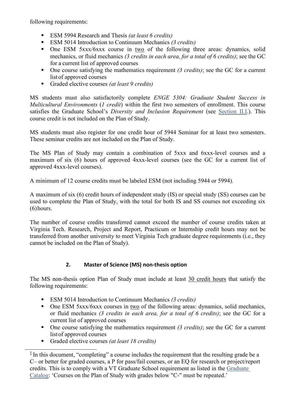following requirements:

- ESM 5994 Research and Thesis *(at least 6 credits)*
- ESM 5014 Introduction to Continuum Mechanics *(3 credits)*
- One ESM 5xxx/6xxx course in two of the following three areas: dynamics, solid mechanics, or fluid mechanics *(3 credits in each area, for a total of 6 credits)*; see the GC for a current list of approved courses
- One course satisfying the mathematics requirement *(3 credits)*; see the GC for a current listof approved courses
- Graded elective courses *(at least 9 credits)*

MS students must also satisfactorily complete *ENGE 5304: Graduate Student Success in Multicultural Environments* (*1 credit*) within the first two semesters of enrollment. This course satisfies the Graduate School's *Diversity and Inclusion Requirement* (see Section II.I.). This course credit is not included on the Plan of Study.

MS students must also register for one credit hour of 5944 Seminar for at least two semesters. These seminar credits are not included on the Plan of Study.

The MS Plan of Study may contain a combination of 5xxx and 6xxx-level courses and a maximum of six (6) hours of approved 4xxx-level courses (see the GC for a current list of approved 4xxx-level courses).

A minimum of 12 course credits must be labeled ESM (not including 5944 or 5994).

A maximum of six (6) credit hours of independent study (IS) or special study (SS) courses can be used to complete the Plan of Study, with the total for both IS and SS courses not exceeding six (6)hours.

The number of course credits transferred cannot exceed the number of course credits taken at Virginia Tech. Research, Project and Report, Practicum or Internship credit hours may not be transferred from another university to meet Virginia Tech graduate degree requirements (i.e., they cannot be included on the Plan of Study).

# **2. Master of Science (MS) non-thesis option**

The MS non-thesis option Plan of Study must include at least 30 credit hours that satisfy the following requirements:

- ESM 5014 Introduction to Continuum Mechanics *(3 credits)*
- One ESM 5xxx/6xxx courses in two of the following areas: dynamics, solid mechanics, or fluid mechanics *(3 credits in each area, for a total of 6 credits)*; see the GC for a current list of approved courses
- One course satisfying the mathematics requirement *(3 credits)*; see the GC for a current listof approved courses
- Graded elective courses *(at least 18 credits)*

<sup>&</sup>lt;sup>‡</sup> In this document, "completing" a course includes the requirement that the resulting grade be a C– or better for graded courses, a P for pass/fail courses, or an EQ for research or project/report credits. This is to comply with a VT Graduate School requirement as listed in the [Graduate](https://secure.graduateschool.vt.edu/graduate_catalog/policies.htm?policy=002d14432c654287012c6542e38200a2)  [Catalog:](https://secure.graduateschool.vt.edu/graduate_catalog/policies.htm?policy=002d14432c654287012c6542e38200a2) 'Courses on the Plan of Study with grades below "C-" must be repeated.'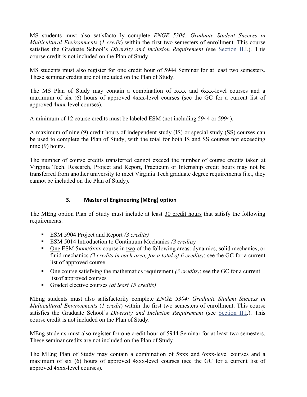MS students must also satisfactorily complete *ENGE 5304: Graduate Student Success in Multicultural Environments* (*1 credit*) within the first two semesters of enrollment. This course satisfies the Graduate School's *Diversity and Inclusion Requirement* (see Section II.I.). This course credit is not included on the Plan of Study.

MS students must also register for one credit hour of 5944 Seminar for at least two semesters. These seminar credits are not included on the Plan of Study.

The MS Plan of Study may contain a combination of 5xxx and 6xxx-level courses and a maximum of six (6) hours of approved 4xxx-level courses (see the GC for a current list of approved 4xxx-level courses).

A minimum of 12 course credits must be labeled ESM (not including 5944 or 5994).

A maximum of nine (9) credit hours of independent study (IS) or special study (SS) courses can be used to complete the Plan of Study, with the total for both IS and SS courses not exceeding nine (9) hours.

The number of course credits transferred cannot exceed the number of course credits taken at Virginia Tech. Research, Project and Report, Practicum or Internship credit hours may not be transferred from another university to meet Virginia Tech graduate degree requirements (i.e., they cannot be included on the Plan of Study).

# **3. Master of Engineering (MEng) option**

The MEng option Plan of Study must include at least 30 credit hours that satisfy the following requirements:

- ESM 5904 Project and Report *(3 credits)*
- ESM 5014 Introduction to Continuum Mechanics *(3 credits)*
- One ESM 5xxx/6xxx course in two of the following areas: dynamics, solid mechanics, or fluid mechanics *(3 credits in each area, for a total of 6 credits)*; see the GC for a current list of approved course
- One course satisfying the mathematics requirement *(3 credits)*; see the GC for a current listof approved courses
- Graded elective courses *(at least 15 credits)*

MEng students must also satisfactorily complete *ENGE 5304: Graduate Student Success in Multicultural Environments* (*1 credit*) within the first two semesters of enrollment. This course satisfies the Graduate School's *Diversity and Inclusion Requirement* (see Section II.I.). This course credit is not included on the Plan of Study.

MEng students must also register for one credit hour of 5944 Seminar for at least two semesters. These seminar credits are not included on the Plan of Study.

The MEng Plan of Study may contain a combination of 5xxx and 6xxx-level courses and a maximum of six (6) hours of approved 4xxx-level courses (see the GC for a current list of approved 4xxx-level courses).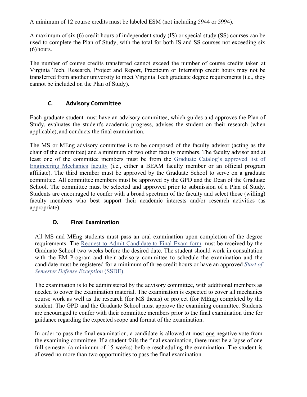A minimum of 12 course credits must be labeled ESM (not including 5944 or 5994).

A maximum of six (6) credit hours of independent study (IS) or special study (SS) courses can be used to complete the Plan of Study, with the total for both IS and SS courses not exceeding six (6)hours.

The number of course credits transferred cannot exceed the number of course credits taken at Virginia Tech. Research, Project and Report, Practicum or Internship credit hours may not be transferred from another university to meet Virginia Tech graduate degree requirements (i.e., they cannot be included on the Plan of Study).

# **C. Advisory Committee**

Each graduate student must have an advisory committee, which guides and approves the Plan of Study, evaluates the student's academic progress, advises the student on their research (when applicable), and conducts the final examination.

The MS or MEng advisory committee is to be composed of the faculty advisor (acting as the chair of the committee) and a minimum of two other faculty members. The faculty advisor and at least one of the committee members must be from the [Graduate Catalog's approved list of](https://secure.graduateschool.vt.edu/graduate_catalog/program.htm?programID=002d14431ce38e83011ce38e97120047)  [Engineering Mechanics](https://secure.graduateschool.vt.edu/graduate_catalog/program.htm?programID=002d14431ce38e83011ce38e97120047) [faculty](https://secure.graduateschool.vt.edu/graduate_catalog/program.htm?programID=002d14431ce38e83011ce38e97120047) (i.e., either a BEAM faculty member or an official program affiliate). The third member must be approved by the Graduate School to serve on a graduate committee. All committee members must be approved by the GPD and the Dean of the Graduate School. The committee must be selected and approved prior to submission of a Plan of Study. Students are encouraged to confer with a broad spectrum of the faculty and select those (willing) faculty members who best support their academic interests and/or research activities (as appropriate).

# **D. Final Examination**

All MS and MEng students must pass an oral examination upon completion of the degree requirements. The [Request to Admit Candidate to Final Exam form](https://ess.graduateschool.vt.edu/pages/login.php) must be received by the Graduate School two weeks before the desired date. The student should work in consultation with the EM Program and their advisory committee to schedule the examination and the candidate must be registered for a minimum of three credit hours or have an approved *Start of Semester Defense Exception* (SSDE).

The examination is to be administered by the advisory committee, with additional members as needed to cover the examination material. The examination is expected to cover all mechanics course work as well as the research (for MS thesis) or project (for MEng) completed by the student. The GPD and the Graduate School must approve the examining committee. Students are encouraged to confer with their committee members prior to the final examination time for guidance regarding the expected scope and format of the examination.

In order to pass the final examination, a candidate is allowed at most one negative vote from the examining committee. If a student fails the final examination, there must be a lapse of one full semester (a minimum of 15 weeks) before rescheduling the examination. The student is allowed no more than two opportunities to pass the final examination.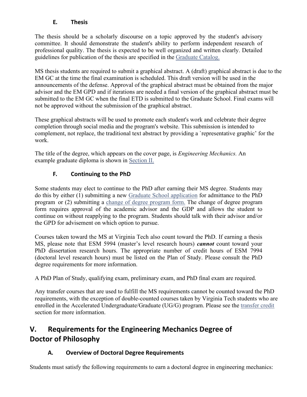#### **E. Thesis**

The thesis should be a scholarly discourse on a topic approved by the student's advisory committee. It should demonstrate the student's ability to perform independent research of professional quality. The thesis is expected to be well organized and written clearly. Detailed guidelines for publication of the thesis are specified in the [Graduate Catalog.](https://secure.graduateschool.vt.edu/graduate_catalog/policies.htm?policy=002d14432c654287012c6542e3720025)

MS thesis students are required to submit a graphical abstract. A (draft) graphical abstract is due to the EM GC at the time the final examination is scheduled. This draft version will be used in the announcements of the defense. Approval of the graphical abstract must be obtained from the major advisor and the EM GPD and if iterations are needed a final version of the graphical abstract must be submitted to the EM GC when the final ETD is submitted to the Graduate School. Final exams will not be approved without the submission of the graphical abstract.

These graphical abstracts will be used to promote each student's work and celebrate their degree completion through social media and the program's website. This submission is intended to complement, not replace, the traditional text abstract by providing a `representative graphic' for the work.

The title of the degree, which appears on the cover page, is *Engineering Mechanics.* An example graduate diploma is shown in Section II.

# **F. Continuing to the PhD**

Some students may elect to continue to the PhD after earning their MS degree. Students may do this by either (1) submitting a new [Graduate School application](https://graduateschool.vt.edu/admissions/how-to-apply.html) for admittance to the PhD program or (2) submitting a [change of degree program form.](https://graduateschool.vt.edu/content/dam/graduateschool_vt_edu/GAAPforms/change-of-degree-status-10-2019.pdf) The change of degree program form requires approval of the academic advisor and the GDP and allows the student to continue on without reapplying to the program. Students should talk with their advisor and/or the GPD for advisement on which option to pursue.

Courses taken toward the MS at Virginia Tech also count toward the PhD. If earning a thesis MS, please note that ESM 5994 (master's level research hours) *cannot* count toward your PhD dissertation research hours. The appropriate number of credit hours of ESM 7994 (doctoral level research hours) must be listed on the Plan of Study. Please consult the PhD degree requirements for more information.

A PhD Plan of Study, qualifying exam, preliminary exam, and PhD final exam are required.

Any transfer courses that are used to fulfill the MS requirements cannot be counted toward the PhD requirements, with the exception of double-counted courses taken by Virginia Tech students who are enrolled in the Accelerated Undergraduate/Graduate (UG/G) program. Please see the transfer credit section for more information.

# **V. Requirements for the Engineering Mechanics Degree of Doctor of Philosophy**

# **A. Overview of Doctoral Degree Requirements**

Students must satisfy the following requirements to earn a doctoral degree in engineering mechanics: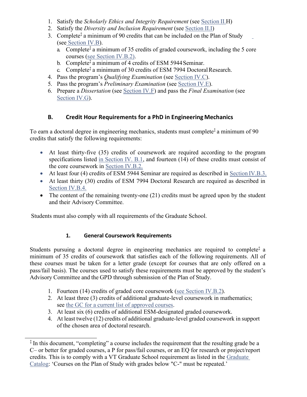- 1. Satisfy the *Scholarly Ethics and Integrity Requirement* (see Section II.H)
- 2. Satisfy the *Diversity and Inclusion Requirement* (see Section II.I)
- 3. Complete<sup>‡</sup> a minimum of 90 credits that can be included on the Plan of Study (see Section IV.B).
	- a. Complete<sup> $\ddagger$ </sup> a minimum of 35 credits of graded coursework, including the 5 core courses (see Section IV.B.2).
	- b. Complete<sup> $\ddagger$ </sup> a minimum of 4 credits of ESM 5944 Seminar.
	- c. Complete‡ a minimum of 30 credits of ESM 7994 DoctoralResearch.
- 4. Pass the program's *Qualifying Examination* (see Section IV.C).
- 5. Pass the program's *Preliminary Examination* (see Section IV.E).
- 6. Prepare a *Dissertation* (see Section IV.F) and pass the *Final Examination* (see Section IV.G).

# **B. Credit Hour Requirements for a PhD in Engineering Mechanics**

To earn a doctoral degree in engineering mechanics, students must complete<sup> $\ddagger$ </sup> a minimum of 90 credits that satisfy the following requirements:

- At least thirty-five (35) credits of coursework are required according to the program specifications listed in Section IV. B.1, and fourteen (14) of these credits must consist of the core coursework in Section IV.B.2.
- At least four (4) credits of ESM 5944 Seminar are required as described in Section IV.B.3.
- At least thirty (30) credits of ESM 7994 Doctoral Research are required as described in Section IV.B.4.
- The content of the remaining twenty-one (21) credits must be agreed upon by the student and their Advisory Committee.

Students must also comply with all requirements of the Graduate School.

# **1. General Coursework Requirements**

Students pursuing a doctoral degree in engineering mechanics are required to complete<sup> $\ddagger$ </sup> a minimum of 35 credits of coursework that satisfies each of the following requirements. All of these courses must be taken for a letter grade (except for courses that are only offered on a pass/fail basis). The courses used to satisfy these requirements must be approved by the student's Advisory Committee and the GPD through submission of the Plan of Study.

- 1. Fourteen (14) credits of graded core coursework (see Section IV.B.2).
- 2. At least three (3) credits of additional graduate-level coursework in mathematics; see the GC for a current list of approved courses.
- 3. At least six (6) credits of additional ESM-designated graded coursework.
- 4. At least twelve (12) credits of additional graduate-level graded coursework in support of the chosen area of doctoral research.

<sup>&</sup>lt;sup>‡</sup> In this document, "completing" a course includes the requirement that the resulting grade be a C– or better for graded courses, a P for pass/fail courses, or an EQ for research or project/report credits. This is to comply with a VT Graduate School requirement as listed in the [Graduate](https://secure.graduateschool.vt.edu/graduate_catalog/policies.htm?policy=002d14432c654287012c6542e38200a2)  [Catalog:](https://secure.graduateschool.vt.edu/graduate_catalog/policies.htm?policy=002d14432c654287012c6542e38200a2) 'Courses on the Plan of Study with grades below "C-" must be repeated.'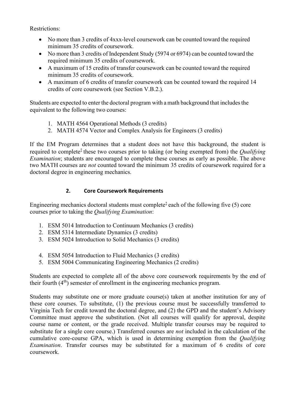Restrictions:

- No more than 3 credits of 4xxx-level coursework can be counted toward the required minimum 35 credits of coursework.
- No more than 3 credits of Independent Study (5974 or 6974) can be counted toward the required minimum 35 credits of coursework.
- A maximum of 15 credits of transfer coursework can be counted toward the required minimum 35 credits of coursework.
- A maximum of 6 credits of transfer coursework can be counted toward the required 14 credits of core coursework (see Section V.B.2.).

Students are expected to enter the doctoral program with a math background that includes the equivalent to the following two courses:

- 1. MATH 4564 Operational Methods (3 credits)
- 2. MATH 4574 Vector and Complex Analysis for Engineers (3 credits)

If the EM Program determines that a student does not have this background, the student is required to complete‡ these two courses prior to taking (or being exempted from) the *Qualifying Examination*; students are encouraged to complete these courses as early as possible. The above two MATH courses are *not* counted toward the minimum 35 credits of coursework required for a doctoral degree in engineering mechanics.

#### **2. Core Coursework Requirements**

Engineering mechanics doctoral students must complete<sup>‡</sup> each of the following five (5) core courses prior to taking the *Qualifying Examination*:

- 1. ESM 5014 Introduction to Continuum Mechanics (3 credits)
- 2. ESM 5314 Intermediate Dynamics (3 credits)
- 3. ESM 5024 Introduction to Solid Mechanics (3 credits)
- 4. ESM 5054 Introduction to Fluid Mechanics (3 credits)
- 5. ESM 5004 Communicating Engineering Mechanics (2 credits)

Students are expected to complete all of the above core coursework requirements by the end of their fourth (4th) semester of enrollment in the engineering mechanics program.

Students may substitute one or more graduate course(s) taken at another institution for any of these core courses. To substitute, (1) the previous course must be successfully transferred to Virginia Tech for credit toward the doctoral degree, and (2) the GPD and the student's Advisory Committee must approve the substitution. (Not all courses will qualify for approval, despite course name or content, or the grade received. Multiple transfer courses may be required to substitute for a single core course.) Transferred courses are *not* included in the calculation of the cumulative core-course GPA, which is used in determining exemption from the *Qualifying Examination*. Transfer courses may be substituted for a maximum of 6 credits of core coursework.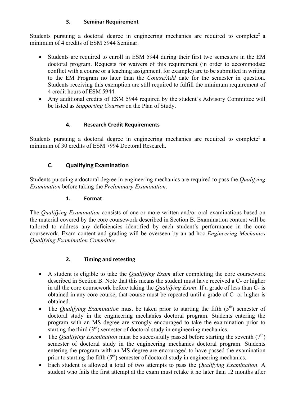#### **3. Seminar Requirement**

Students pursuing a doctoral degree in engineering mechanics are required to complete<sup>‡</sup> a minimum of 4 credits of ESM 5944 Seminar.

- Students are required to enroll in ESM 5944 during their first two semesters in the EM doctoral program. Requests for waivers of this requirement (in order to accommodate conflict with a course or a teaching assignment, for example) are to be submitted in writing to the EM Program no later than the *Course/Add* date for the semester in question. Students receiving this exemption are still required to fulfill the minimum requirement of 4 credit hours of ESM 5944.
- Any additional credits of ESM 5944 required by the student's Advisory Committee will be listed as *Supporting Courses* on the Plan of Study.

#### **4. Research Credit Requirements**

Students pursuing a doctoral degree in engineering mechanics are required to complete‡ a minimum of 30 credits of ESM 7994 Doctoral Research.

# **C. Qualifying Examination**

Students pursuing a doctoral degree in engineering mechanics are required to pass the *Qualifying Examination* before taking the *Preliminary Examination*.

#### **1. Format**

The *Qualifying Examination* consists of one or more written and/or oral examinations based on the material covered by the core coursework described in Section B. Examination content will be tailored to address any deficiencies identified by each student's performance in the core coursework. Exam content and grading will be overseen by an ad hoc *Engineering Mechanics Qualifying Examination Committee*.

#### **2. Timing and retesting**

- A student is eligible to take the *Qualifying Exam* after completing the core coursework described in Section B. Note that this means the student must have received a C- or higher in all the core coursework before taking the *Qualifying Exam*. If a grade of less than C- is obtained in any core course, that course must be repeated until a grade of C- or higher is obtained.
- The *Qualifying Examination* must be taken prior to starting the fifth (5<sup>th</sup>) semester of doctoral study in the engineering mechanics doctoral program. Students entering the program with an MS degree are strongly encouraged to take the examination prior to starting the third  $(3<sup>rd</sup>)$  semester of doctoral study in engineering mechanics.
- The *Qualifying Examination* must be successfully passed before starting the seventh (7<sup>th</sup>) semester of doctoral study in the engineering mechanics doctoral program. Students entering the program with an MS degree are encouraged to have passed the examination prior to starting the fifth  $(5<sup>th</sup>)$  semester of doctoral study in engineering mechanics.
- Each student is allowed a total of two attempts to pass the *Qualifying Examination*. A student who fails the first attempt at the exam must retake it no later than 12 months after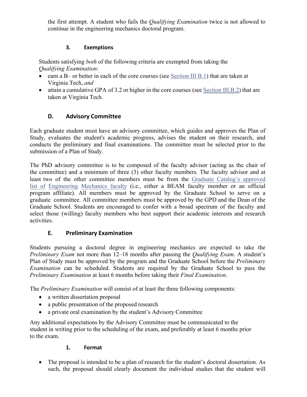the first attempt. A student who fails the *Qualifying Examination* twice is not allowed to continue in the engineering mechanics doctoral program.

#### **3. Exemptions**

Students satisfying *both* of the following criteria are exempted from taking the *Qualifying Examination*:

- earn a B– or better in each of the core courses (see Section III B.1) that are taken at Virginia Tech, *and*
- attain a cumulative GPA of 3.2 or higher in the core courses (see Section III.B.2) that are taken at Virginia Tech.

# **D. Advisory Committee**

Each graduate student must have an advisory committee, which guides and approves the Plan of Study, evaluates the student's academic progress, advises the student on their research, and conducts the preliminary and final examinations. The committee must be selected prior to the submission of a Plan of Study.

The PhD advisory committee is to be composed of the faculty advisor (acting as the chair of the committee) and a minimum of three (3) other faculty members. The faculty advisor and at least two of the other committee members must be fr[om the Graduate Catalog's approved](https://secure.graduateschool.vt.edu/graduate_catalog/program.htm?programID=002d14431ce38e83011ce38e97120047)  [list of Engin](https://secure.graduateschool.vt.edu/graduate_catalog/program.htm?programID=002d14431ce38e83011ce38e97120047)eering [Mechanics faculty](https://secure.graduateschool.vt.edu/graduate_catalog/program.htm?programID=002d14431ce38e83011ce38e97120047) (i.e., either a BEAM faculty member or an official program affiliate). All members must be approved by the Graduate School to serve on a graduate committee. All committee members must be approved by the GPD and the Dean of the Graduate School. Students are encouraged to confer with a broad spectrum of the faculty and select those (willing) faculty members who best support their academic interests and research activities.

# **E. Preliminary Examination**

Students pursuing a doctoral degree in engineering mechanics are expected to take the *Preliminary Exam* not more than 12–18 months after passing the *Qualifying Exam*. A student's Plan of Study must be approved by the program and the Graduate School before the *Preliminary Examination* can be scheduled. Students are required by the Graduate School to pass the *Preliminary Examination* at least 6 months before taking their *Final Examination*.

The *Preliminary Examination* will consist of at least the three following components:

- a written dissertation proposal
- a public presentation of the proposed research
- a private oral examination by the student's Advisory Committee

Any additional expectations by the Advisory Committee must be communicated to the student in writing prior to the scheduling of the exam, and preferably at least 6 months prior to the exam.

#### **1. Format**

• The proposal is intended to be a plan of research for the student's doctoral dissertation. As such, the proposal should clearly document the individual studies that the student will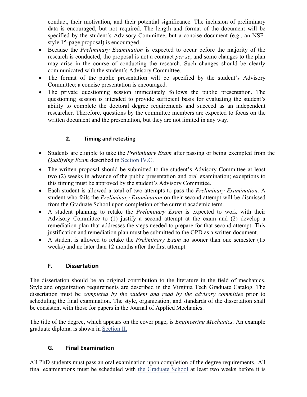conduct, their motivation, and their potential significance. The inclusion of preliminary data is encouraged, but not required. The length and format of the document will be specified by the student's Advisory Committee, but a concise document (e.g., an NSFstyle 15-page proposal) is encouraged.

- Because the *Preliminary Examination* is expected to occur before the majority of the research is conducted, the proposal is not a contract *per se*, and some changes to the plan may arise in the course of conducting the research. Such changes should be clearly communicated with the student's Advisory Committee.
- The format of the public presentation will be specified by the student's Advisory Committee; a concise presentation is encouraged.
- The private questioning session immediately follows the public presentation. The questioning session is intended to provide sufficient basis for evaluating the student's ability to complete the doctoral degree requirements and succeed as an independent researcher. Therefore, questions by the committee members are expected to focus on the written document and the presentation, but they are not limited in any way.

# **2. Timing and retesting**

- Students are eligible to take the *Preliminary Exam* after passing or being exempted from the *Qualifying Exam* described in Section IV.C.
- The written proposal should be submitted to the student's Advisory Committee at least two (2) weeks in advance of the public presentation and oral examination; exceptions to this timing must be approved by the student's Advisory Committee.
- Each student is allowed a total of two attempts to pass the *Preliminary Examination*. A student who fails the *Preliminary Examination* on their second attempt will be dismissed from the Graduate School upon completion of the current academic term.
- A student planning to retake the *Preliminary Exam* is expected to work with their Advisory Committee to (1) justify a second attempt at the exam and (2) develop a remediation plan that addresses the steps needed to prepare for that second attempt. This justification and remediation plan must be submitted to the GPD as a written document.
- A student is allowed to retake the *Preliminary Exam* no sooner than one semester (15 weeks) and no later than 12 months after the first attempt.

#### **F. Dissertation**

The dissertation should be an original contribution to the literature in the field of mechanics. Style and organization requirements are described in the Virginia Tech Graduate Catalog. The dissertation must be *completed by the student and read by the advisory committee* prior to scheduling the final examination. The style, organization, and standards of the dissertation shall be consistent with those for papers in the Journal of Applied Mechanics.

The title of the degree, which appears on the cover page, is *Engineering Mechanics.* An example graduate diploma is shown in Section II.

#### **G. Final Examination**

All PhD students must pass an oral examination upon completion of the degree requirements. All final examinations must be scheduled with [the Graduate School](https://ess.graduateschool.vt.edu/pages/login.php) at least two weeks before it is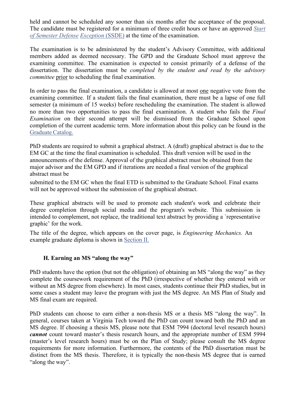held and cannot be scheduled any sooner than six months after the acceptance of the proposal. The candidate must be registered for a minimum of three credit hours or have an approved *Start of Semester Defense Exception* (SSDE) at the time of the examination.

The examination is to be administered by the student's Advisory Committee, with additional members added as deemed necessary. The GPD and the Graduate School must approve the examining committee. The examination is expected to consist primarily of a defense of the dissertation. The dissertation must be *completed by the student and read by the advisory committee* prior to scheduling the final examination.

In order to pass the final examination, a candidate is allowed at most one negative vote from the examining committee. If a student fails the final examination, there must be a lapse of one full semester (a minimum of 15 weeks) before rescheduling the examination. The student is allowed no more than two opportunities to pass the final examination. A student who fails the *Final Examination* on their second attempt will be dismissed from the Graduate School upon completion of the current academic term. More information about this policy can be found in the [Graduate](https://secure.graduateschool.vt.edu/graduate_catalog/policies.htm?policy=002d14432c654287012c6542e3630018) Catalog.

PhD students are required to submit a graphical abstract. A (draft) graphical abstract is due to the EM GC at the time the final examination is scheduled. This draft version will be used in the announcements of the defense. Approval of the graphical abstract must be obtained from the major advisor and the EM GPD and if iterations are needed a final version of the graphical abstract must be

submitted to the EM GC when the final ETD is submitted to the Graduate School. Final exams will not be approved without the submission of the graphical abstract.

These graphical abstracts will be used to promote each student's work and celebrate their degree completion through social media and the program's website. This submission is intended to complement, not replace, the traditional text abstract by providing a `representative graphic' for the work.

The title of the degree, which appears on the cover page, is *Engineering Mechanics.* An example graduate diploma is shown in Section II.

#### **H. Earning an MS "along the way"**

PhD students have the option (but not the obligation) of obtaining an MS "along the way" as they complete the coursework requirement of the PhD (irrespective of whether they entered with or without an MS degree from elsewhere). In most cases, students continue their PhD studies, but in some cases a student may leave the program with just the MS degree. An MS Plan of Study and MS final exam are required.

PhD students can choose to earn either a non-thesis MS or a thesis MS "along the way". In general, courses taken at Virginia Tech toward the PhD can count toward both the PhD and an MS degree. If choosing a thesis MS, please note that ESM 7994 (doctoral level research hours) *cannot* count toward master's thesis research hours, and the appropriate number of ESM 5994 (master's level research hours) must be on the Plan of Study; please consult the MS degree requirements for more information. Furthermore, the contents of the PhD dissertation must be distinct from the MS thesis. Therefore, it is typically the non-thesis MS degree that is earned "along the way".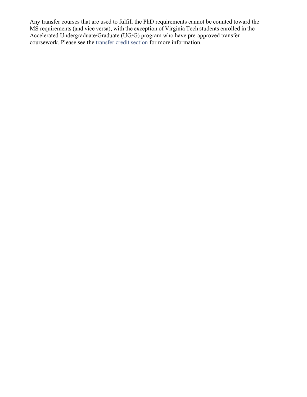Any transfer courses that are used to fulfill the PhD requirements cannot be counted toward the MS requirements (and vice versa), with the exception of Virginia Tech students enrolled in the Accelerated Undergraduate/Graduate (UG/G) program who have pre-approved transfer coursework. Please see the transfer credit section for more information.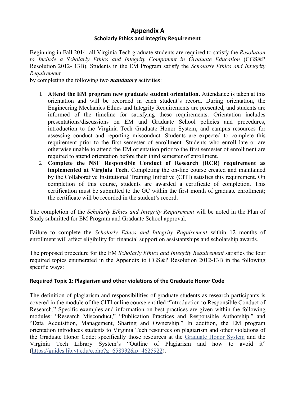# **Appendix A Scholarly Ethics and Integrity Requirement**

Beginning in Fall 2014, all Virginia Tech graduate students are required to satisfy the *Resolution to Include a Scholarly Ethics and Integrity Component in Graduate Education* (CGS&P Resolution 2012- 13B). Students in the EM Program satisfy the *Scholarly Ethics and Integrity Requirement*

by completing the following two *mandatory* activities:

- 1. **Attend the EM program new graduate student orientation.** Attendance is taken at this orientation and will be recorded in each student's record. During orientation, the Engineering Mechanics Ethics and Integrity Requirements are presented, and students are informed of the timeline for satisfying these requirements. Orientation includes presentations/discussions on EM and Graduate School policies and procedures, introduction to the Virginia Tech Graduate Honor System, and campus resources for assessing conduct and reporting misconduct. Students are expected to complete this requirement prior to the first semester of enrollment. Students who enroll late or are otherwise unable to attend the EM orientation prior to the first semester of enrollment are required to attend orientation before their third semester of enrollment.
- 2. **Complete the NSF Responsible Conduct of Research (RCR) requirement as implemented at Virginia Tech.** Completing the on-line course created and maintained by the Collaborative Institutional Training Initiative (CITI) satisfies this requirement. On completion of this course, students are awarded a certificate of completion. This certification must be submitted to the GC within the first month of graduate enrollment; the certificate will be recorded in the student's record.

The completion of the *Scholarly Ethics and Integrity Requirement* will be noted in the Plan of Study submitted for EM Program and Graduate School approval.

Failure to complete the *Scholarly Ethics and Integrity Requirement* within 12 months of enrollment will affect eligibility for financial support on assistantships and scholarship awards.

The proposed procedure for the EM *Scholarly Ethics and Integrity Requirement* satisfies the four required topics enumerated in the Appendix to CGS&P Resolution 2012-13B in the following specific ways:

#### **Required Topic 1: Plagiarism and other violations of the Graduate Honor Code**

The definition of plagiarism and responsibilities of graduate students as research participants is covered in the module of the CITI online course entitled "Introduction to Responsible Conduct of Research." Specific examples and information on best practices are given within the following modules: "Research Misconduct," "Publication Practices and Responsible Authorship," and "Data Acquisition, Management, Sharing and Ownership." In addition, the EM program orientation introduces students to Virginia Tech resources on plagiarism and other violations of the Graduate Honor Code; specifically those resources at the Graduate Honor System and the Virginia Tech Library System's "Outline of Plagiarism and how to avoid it" (https://guides.lib.vt.edu/c.php?g=658932&p=4625922).